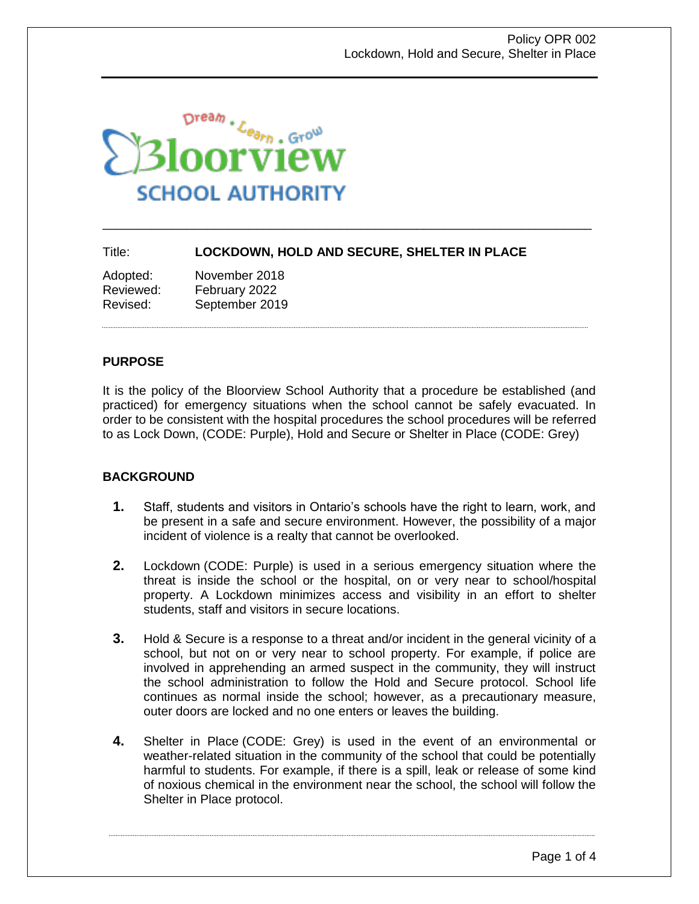

## Title: **LOCKDOWN, HOLD AND SECURE, SHELTER IN PLACE**

\_\_\_\_\_\_\_\_\_\_\_\_\_\_\_\_\_\_\_\_\_\_\_\_\_\_\_\_\_\_\_\_\_\_\_\_\_\_\_\_\_\_\_\_\_\_\_\_\_\_\_\_\_\_\_\_\_\_\_\_\_\_\_\_\_\_\_\_\_\_

| Adopted:  | November 2018  |
|-----------|----------------|
| Reviewed: | February 2022  |
| Revised:  | September 2019 |

#### **PURPOSE**

It is the policy of the Bloorview School Authority that a procedure be established (and practiced) for emergency situations when the school cannot be safely evacuated. In order to be consistent with the hospital procedures the school procedures will be referred to as Lock Down, (CODE: Purple), Hold and Secure or Shelter in Place (CODE: Grey)

#### **BACKGROUND**

- **1.** Staff, students and visitors in Ontario's schools have the right to learn, work, and be present in a safe and secure environment. However, the possibility of a major incident of violence is a realty that cannot be overlooked.
- **2.** Lockdown (CODE: Purple) is used in a serious emergency situation where the threat is inside the school or the hospital, on or very near to school/hospital property. A Lockdown minimizes access and visibility in an effort to shelter students, staff and visitors in secure locations.
- **3.** Hold & Secure is a response to a threat and/or incident in the general vicinity of a school, but not on or very near to school property. For example, if police are involved in apprehending an armed suspect in the community, they will instruct the school administration to follow the Hold and Secure protocol. School life continues as normal inside the school; however, as a precautionary measure, outer doors are locked and no one enters or leaves the building.
- **4.** Shelter in Place (CODE: Grey) is used in the event of an environmental or weather-related situation in the community of the school that could be potentially harmful to students. For example, if there is a spill, leak or release of some kind of noxious chemical in the environment near the school, the school will follow the Shelter in Place protocol.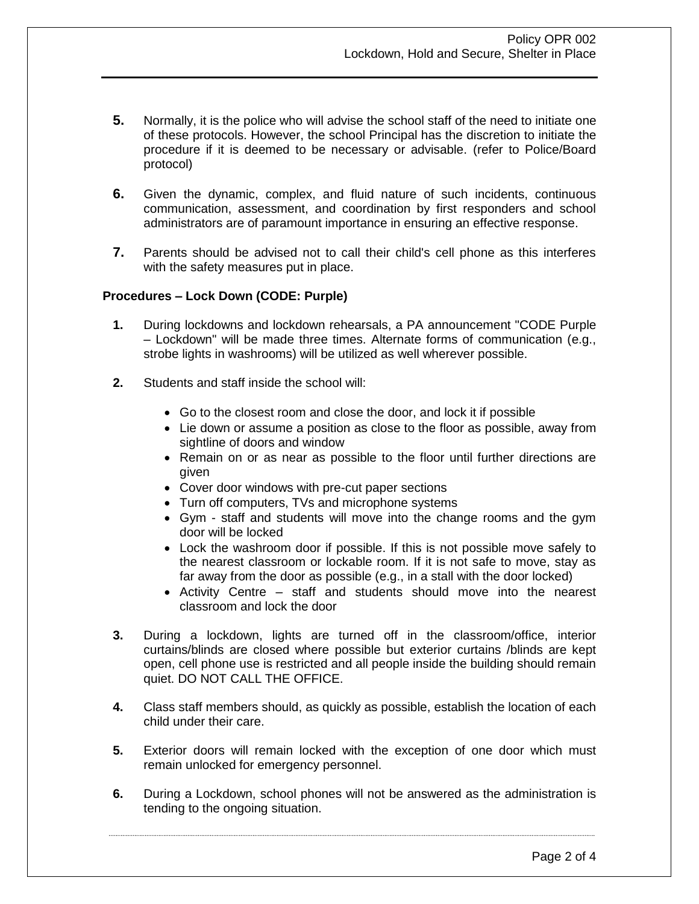- **5.** Normally, it is the police who will advise the school staff of the need to initiate one of these protocols. However, the school Principal has the discretion to initiate the procedure if it is deemed to be necessary or advisable. (refer to Police/Board protocol)
- **6.** Given the dynamic, complex, and fluid nature of such incidents, continuous communication, assessment, and coordination by first responders and school administrators are of paramount importance in ensuring an effective response.
- **7.** Parents should be advised not to call their child's cell phone as this interferes with the safety measures put in place.

## **Procedures – Lock Down (CODE: Purple)**

- **1.** During lockdowns and lockdown rehearsals, a PA announcement "CODE Purple – Lockdown" will be made three times. Alternate forms of communication (e.g., strobe lights in washrooms) will be utilized as well wherever possible.
- **2.** Students and staff inside the school will:
	- Go to the closest room and close the door, and lock it if possible
	- Lie down or assume a position as close to the floor as possible, away from sightline of doors and window
	- Remain on or as near as possible to the floor until further directions are given
	- Cover door windows with pre-cut paper sections
	- Turn off computers, TVs and microphone systems
	- Gym staff and students will move into the change rooms and the gym door will be locked
	- Lock the washroom door if possible. If this is not possible move safely to the nearest classroom or lockable room. If it is not safe to move, stay as far away from the door as possible (e.g., in a stall with the door locked)
	- Activity Centre staff and students should move into the nearest classroom and lock the door
- **3.** During a lockdown, lights are turned off in the classroom/office, interior curtains/blinds are closed where possible but exterior curtains /blinds are kept open, cell phone use is restricted and all people inside the building should remain quiet. DO NOT CALL THE OFFICE.
- **4.** Class staff members should, as quickly as possible, establish the location of each child under their care.
- **5.** Exterior doors will remain locked with the exception of one door which must remain unlocked for emergency personnel.
- **6.** During a Lockdown, school phones will not be answered as the administration is tending to the ongoing situation.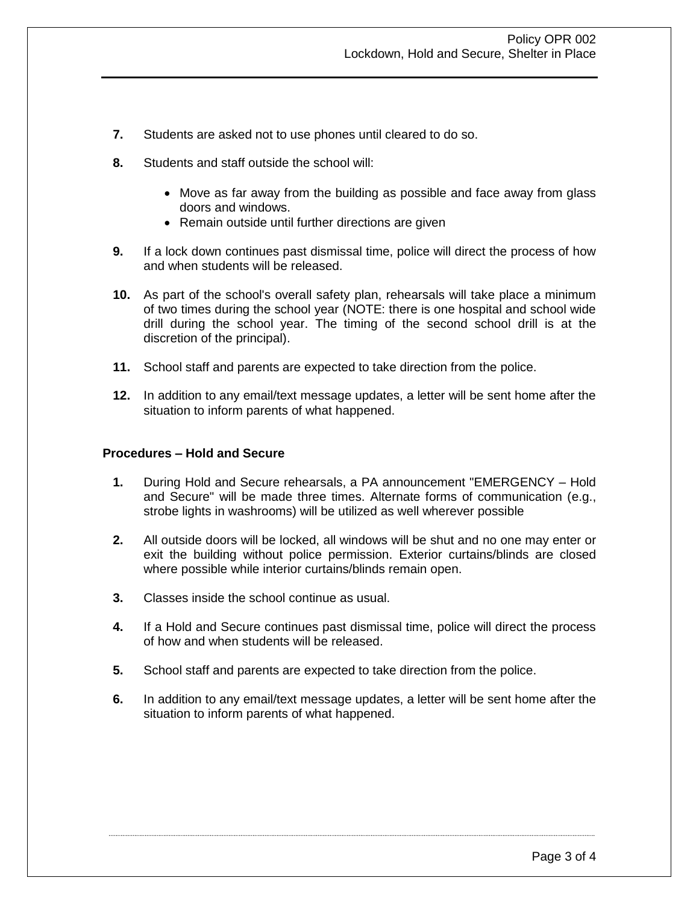- **7.** Students are asked not to use phones until cleared to do so.
- **8.** Students and staff outside the school will:
	- Move as far away from the building as possible and face away from glass doors and windows.
	- Remain outside until further directions are given
- **9.** If a lock down continues past dismissal time, police will direct the process of how and when students will be released.
- **10.** As part of the school's overall safety plan, rehearsals will take place a minimum of two times during the school year (NOTE: there is one hospital and school wide drill during the school year. The timing of the second school drill is at the discretion of the principal).
- **11.** School staff and parents are expected to take direction from the police.
- **12.** In addition to any email/text message updates, a letter will be sent home after the situation to inform parents of what happened.

# **Procedures – Hold and Secure**

- **1.** During Hold and Secure rehearsals, a PA announcement "EMERGENCY Hold and Secure" will be made three times. Alternate forms of communication (e.g., strobe lights in washrooms) will be utilized as well wherever possible
- **2.** All outside doors will be locked, all windows will be shut and no one may enter or exit the building without police permission. Exterior curtains/blinds are closed where possible while interior curtains/blinds remain open.
- **3.** Classes inside the school continue as usual.
- **4.** If a Hold and Secure continues past dismissal time, police will direct the process of how and when students will be released.
- **5.** School staff and parents are expected to take direction from the police.
- **6.** In addition to any email/text message updates, a letter will be sent home after the situation to inform parents of what happened.